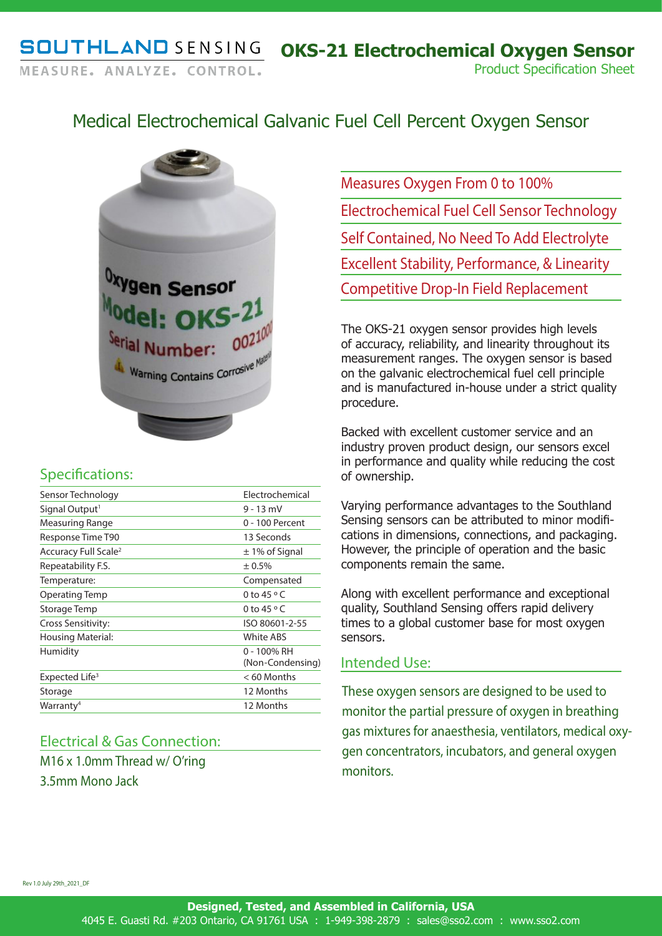# Medical Electrochemical Galvanic Fuel Cell Percent Oxygen Sensor



## Specifications:

| Sensor Technology                | Flectrochemical                 |
|----------------------------------|---------------------------------|
| Signal Output <sup>1</sup>       | $9 - 13$ mV                     |
| Measuring Range                  | 0 - 100 Percent                 |
| Response Time T90                | 13 Seconds                      |
| Accuracy Full Scale <sup>2</sup> | $\pm$ 1% of Signal              |
| Repeatability F.S.               | ± 0.5%                          |
| Temperature:                     | Compensated                     |
| Operating Temp                   | 0 to 45 $\circ$ C               |
| Storage Temp                     | 0 to 45 $\circ$ C               |
| Cross Sensitivity:               | ISO 80601-2-55                  |
| <b>Housing Material:</b>         | <b>White ABS</b>                |
| Humidity                         | 0 - 100% RH<br>(Non-Condensing) |
| Expected Life <sup>3</sup>       | $< 60$ Months                   |
| Storage                          | 12 Months                       |
| Warranty <sup>4</sup>            | 12 Months                       |

### Electrical & Gas Connection:

M16 x 1.0mm Thread w/ O'ring 3.5mm Mono Jack

Measures Oxygen From 0 to 100% Electrochemical Fuel Cell Sensor Technology Self Contained, No Need To Add Electrolyte Excellent Stability, Performance, & Linearity Competitive Drop-In Field Replacement

The OKS-21 oxygen sensor provides high levels of accuracy, reliability, and linearity throughout its measurement ranges. The oxygen sensor is based on the galvanic electrochemical fuel cell principle and is manufactured in-house under a strict quality procedure.

Backed with excellent customer service and an industry proven product design, our sensors excel in performance and quality while reducing the cost of ownership.

Varying performance advantages to the Southland Sensing sensors can be attributed to minor modifications in dimensions, connections, and packaging. However, the principle of operation and the basic components remain the same.

Along with excellent performance and exceptional quality, Southland Sensing offers rapid delivery times to a global customer base for most oxygen sensors.

### Intended Use:

These oxygen sensors are designed to be used to monitor the partial pressure of oxygen in breathing gas mixtures for anaesthesia, ventilators, medical oxygen concentrators, incubators, and general oxygen monitors.

Rev 1.0 July 29th\_2021\_DF